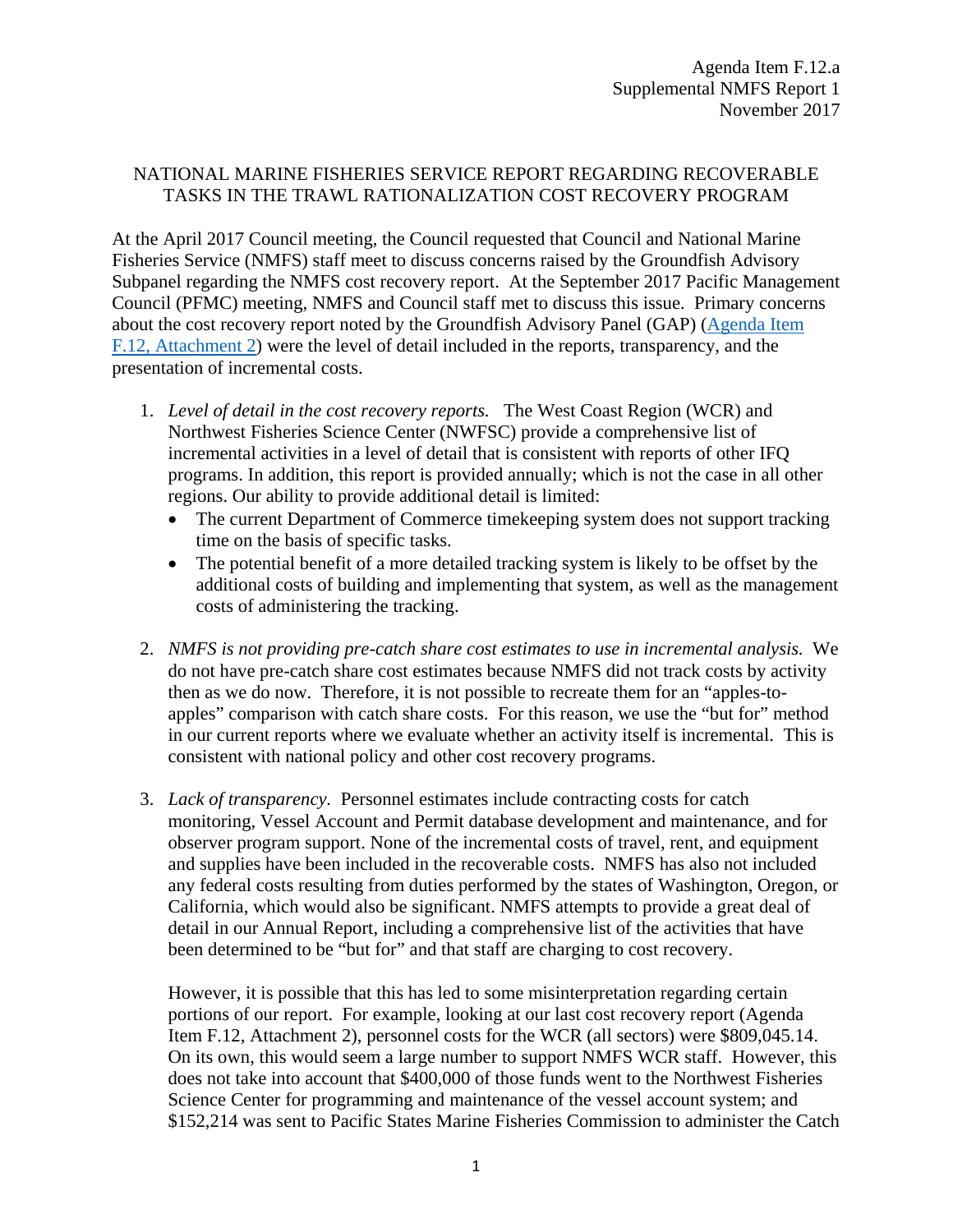## NATIONAL MARINE FISHERIES SERVICE REPORT REGARDING RECOVERABLE TASKS IN THE TRAWL RATIONALIZATION COST RECOVERY PROGRAM

At the April 2017 Council meeting, the Council requested that Council and National Marine Fisheries Service (NMFS) staff meet to discuss concerns raised by the Groundfish Advisory Subpanel regarding the NMFS cost recovery report. At the September 2017 Pacific Management Council (PFMC) meeting, NMFS and Council staff met to discuss this issue. Primary concerns about the cost recovery report noted by the Groundfish Advisory Panel (GAP) [\(Agenda Item](http://www.pcouncil.org/wp-content/uploads/2017/10/F12_Att2_GAP_Rpt_From_Apr2017_NOV2017BB.pdf)  [F.12, Attachment 2\)](http://www.pcouncil.org/wp-content/uploads/2017/10/F12_Att2_GAP_Rpt_From_Apr2017_NOV2017BB.pdf) were the level of detail included in the reports, transparency, and the presentation of incremental costs.

- 1. *Level of detail in the cost recovery reports.* The West Coast Region (WCR) and Northwest Fisheries Science Center (NWFSC) provide a comprehensive list of incremental activities in a level of detail that is consistent with reports of other IFQ programs. In addition, this report is provided annually; which is not the case in all other regions. Our ability to provide additional detail is limited:
	- The current Department of Commerce timekeeping system does not support tracking time on the basis of specific tasks.
	- The potential benefit of a more detailed tracking system is likely to be offset by the additional costs of building and implementing that system, as well as the management costs of administering the tracking.
- 2. *NMFS is not providing pre-catch share cost estimates to use in incremental analysis.* We do not have pre-catch share cost estimates because NMFS did not track costs by activity then as we do now. Therefore, it is not possible to recreate them for an "apples-toapples" comparison with catch share costs. For this reason, we use the "but for" method in our current reports where we evaluate whether an activity itself is incremental. This is consistent with national policy and other cost recovery programs.
- 3. *Lack of transparency.* Personnel estimates include contracting costs for catch monitoring, Vessel Account and Permit database development and maintenance, and for observer program support. None of the incremental costs of travel, rent, and equipment and supplies have been included in the recoverable costs. NMFS has also not included any federal costs resulting from duties performed by the states of Washington, Oregon, or California, which would also be significant. NMFS attempts to provide a great deal of detail in our Annual Report, including a comprehensive list of the activities that have been determined to be "but for" and that staff are charging to cost recovery.

However, it is possible that this has led to some misinterpretation regarding certain portions of our report. For example, looking at our last cost recovery report (Agenda Item F.12, Attachment 2), personnel costs for the WCR (all sectors) were \$809,045.14. On its own, this would seem a large number to support NMFS WCR staff. However, this does not take into account that \$400,000 of those funds went to the Northwest Fisheries Science Center for programming and maintenance of the vessel account system; and \$152,214 was sent to Pacific States Marine Fisheries Commission to administer the Catch